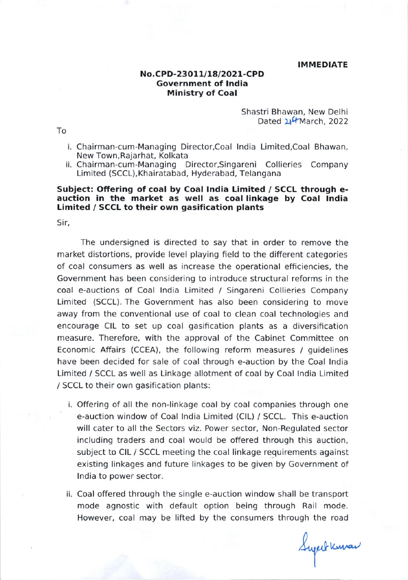#### **IMMEDIATE**

# No.CPD-23O1U18/2O2 1-CPD Government of lndia Ministry of Coal

Shastri Bhawan, New Delhi Dated 24 March, 2022

- i. Chairman-cum-Managing Director,Coal lndia Limited,Coal Bhawan, New Town.Rajarhat, Kolkata
- ii. Chairman-cum-Managing Director,Singareni Collieries Company Limited (SCCL), Khairatabad, Hyderabad, Telangana

## Subject: Offering of coal by Coal lndia Limited / SCCL through eauction in the market as well as coal linkage by Coal tndia Limited / SCCL to their own gasification plants

Sir,

The undersigned is directed to say that in order to remove the market distortions, provide level playing field to the different categories of coal consumers as well as increase the operational efficiencies, the Government has been considering to introduce structural reforms in the coal e-auctions of Coal India Limited / Singareni Collieries Company Limited (SCCL). The Government has also been considering to move away from the conventional use of coal to clean coal technologies and encourage CIL to set up coal gasification plants as a diversification measure. Therefore, with the approval of the Cabinet Committee on Economic Affairs (CCEA), the following reform measures / guidelines have been decided for sale of coal through e-auction by the Coal lndia Limited / SCCL as well as Linkage allotment of coal by Coal lndia Limited / SCCL to their own gasification plants:

- Offering of all the non-linkage coal by coal companies through one i. e-auction window of Coal lndia Limited (ClL) / SCCL. This e-auction will cater to all the Sectors viz. Power sector, Non-Regulated sector including traders and coal would be offered through this auction, subject to CIL / SCCL meeting the coal linkage requirements against existing linkages and future linkages to be given by Government of lndia to power sector.
- Coal offered through the single e-auction window shall be transport ii. mode agnostic with default option being through Rail mode. However, coal may be lifted by the consumers through the road

Superfluman

To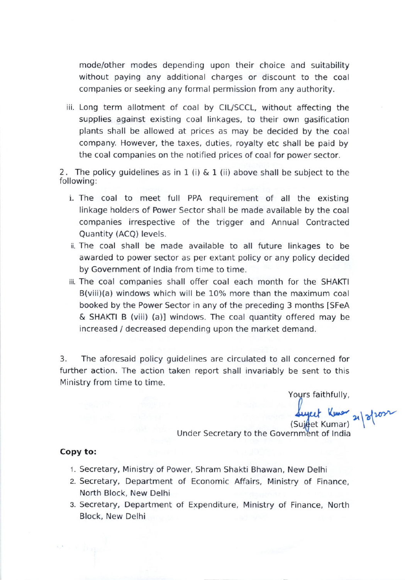mode/other modes depending upon their choice and suitability without paying any additional charges or discount to the coal companies or seeking any formal permlssion from any authority.

iii. Long term allotment of coal by CIL/SCCL, without affecting the supplies against existing coal linkages, to their own gasification plants shall be allowed at prices as may be decided by the coal company. However, the taxes, duties, royalty etc shall be paid by the coal companies on the notified prices of coal for power sector.

2. The policy guidelines as in 1 (i)  $\&$  1 (ii) above shall be subject to the following:

- i. The coal to meet full PPA requirement of all the existing linkage holders of Power Sector shall be made available by the coal companies irrespective of the trigger and Annual Contracted Quantity (ACQ) levels.
- ii. The coal shall be made available to all future linkages to be awarded to power sector as per extant policy or any policy decided by Government of lndia from time to time.
- iii. The coal companies shall offer coal each month for the SHAKTI B(viii)(a) windows which will be 10% more than the maximum coal booked by the Power Sector in any of the preceding 3 months [SFeA] & SHAKII B (viii) (a)l windows. The coal quantity offered may be increased / decreased depending upon the market demand.

3. The aforesaid policy guidelines are circulated to all concerned for further action. The action taken report shall invariably be sent to this Ministry from time to time.

Yours faithfully,

Lujeet Kumar 21/2/202

Under Secretary to the Government of India

# Copy to:

- 1. Secretary, Ministry of Power, Shram Shakti Bhawan, New Delhi
- 2. Secretary, Department of Economic Affairs, Ministry of Finance, North Block, New Delhi
- 3. Secretary, Department of Expenditure, Ministry of Finance, North Block, New Delhi